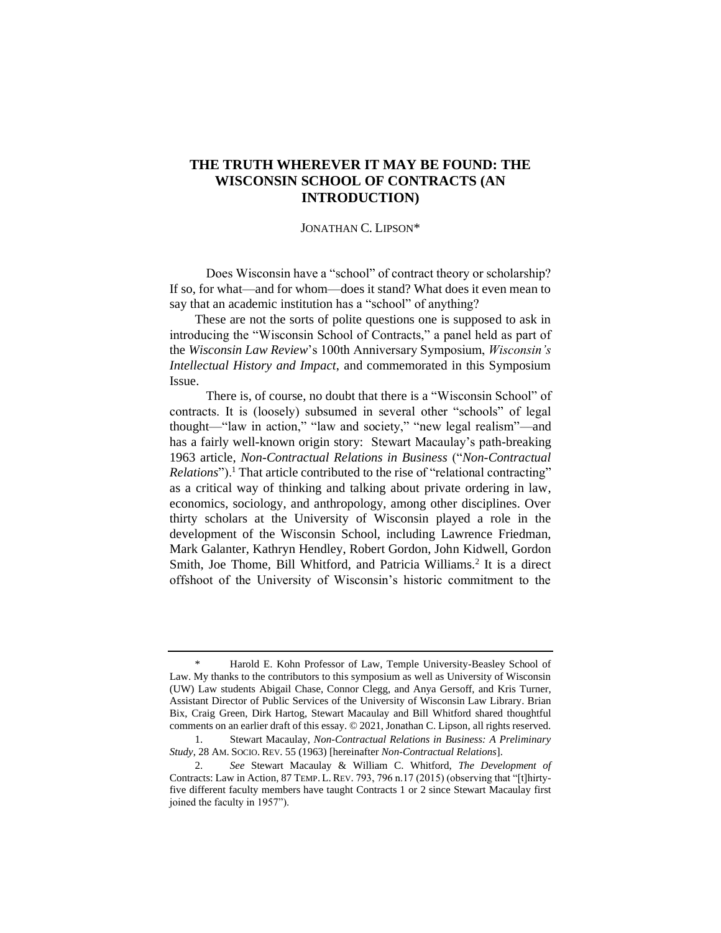# **THE TRUTH WHEREVER IT MAY BE FOUND: THE WISCONSIN SCHOOL OF CONTRACTS (AN INTRODUCTION)**

### JONATHAN C. LIPSON\*

Does Wisconsin have a "school" of contract theory or scholarship? If so, for what—and for whom—does it stand? What does it even mean to say that an academic institution has a "school" of anything?

These are not the sorts of polite questions one is supposed to ask in introducing the "Wisconsin School of Contracts," a panel held as part of the *Wisconsin Law Review*'s 100th Anniversary Symposium, *Wisconsin's Intellectual History and Impact*, and commemorated in this Symposium Issue.

<span id="page-0-0"></span>There is, of course, no doubt that there is a "Wisconsin School" of contracts. It is (loosely) subsumed in several other "schools" of legal thought—"law in action," "law and society," "new legal realism"—and has a fairly well-known origin story: Stewart Macaulay's path-breaking 1963 article, *Non-Contractual Relations in Business* ("*Non-Contractual Relations*").<sup>1</sup> That article contributed to the rise of "relational contracting" as a critical way of thinking and talking about private ordering in law, economics, sociology, and anthropology, among other disciplines. Over thirty scholars at the University of Wisconsin played a role in the development of the Wisconsin School, including Lawrence Friedman, Mark Galanter, Kathryn Hendley, Robert Gordon, John Kidwell, Gordon Smith, Joe Thome, Bill Whitford, and Patricia Williams.<sup>2</sup> It is a direct offshoot of the University of Wisconsin's historic commitment to the

<span id="page-0-1"></span><sup>\*</sup> Harold E. Kohn Professor of Law, Temple University-Beasley School of Law. My thanks to the contributors to this symposium as well as University of Wisconsin (UW) Law students Abigail Chase, Connor Clegg, and Anya Gersoff, and Kris Turner, Assistant Director of Public Services of the University of Wisconsin Law Library. Brian Bix, Craig Green, Dirk Hartog, Stewart Macaulay and Bill Whitford shared thoughtful comments on an earlier draft of this essay. © 2021, Jonathan C. Lipson, all rights reserved.

<sup>1.</sup> Stewart Macaulay, *Non-Contractual Relations in Business: A Preliminary Study*, 28 AM. SOCIO. REV. 55 (1963) [hereinafter *Non-Contractual Relations*].

<sup>2.</sup> *See* Stewart Macaulay & William C. Whitford, *The Development of*  Contracts: Law in Action, 87 TEMP. L. REV. 793, 796 n.17 (2015) (observing that "[t]hirtyfive different faculty members have taught Contracts 1 or 2 since Stewart Macaulay first joined the faculty in 1957").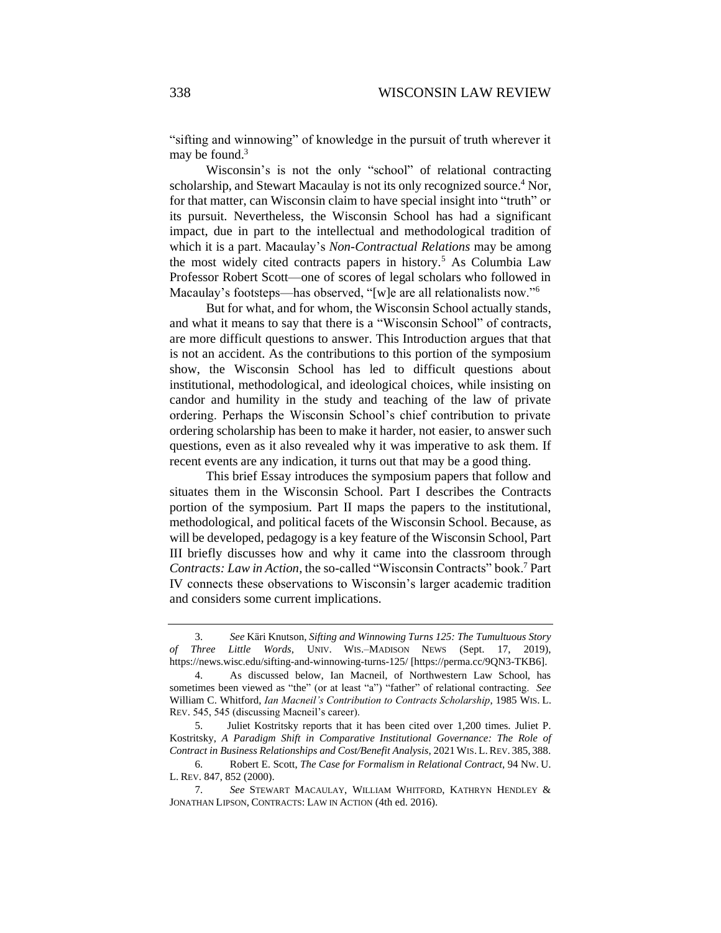<span id="page-1-2"></span>"sifting and winnowing" of knowledge in the pursuit of truth wherever it may be found.<sup>3</sup>

<span id="page-1-1"></span>Wisconsin's is not the only "school" of relational contracting scholarship, and Stewart Macaulay is not its only recognized source.<sup>4</sup> Nor, for that matter, can Wisconsin claim to have special insight into "truth" or its pursuit. Nevertheless, the Wisconsin School has had a significant impact, due in part to the intellectual and methodological tradition of which it is a part. Macaulay's *Non-Contractual Relations* may be among the most widely cited contracts papers in history.<sup>5</sup> As Columbia Law Professor Robert Scott—one of scores of legal scholars who followed in Macaulay's footsteps—has observed, "[w]e are all relationalists now."<sup>6</sup>

<span id="page-1-0"></span>But for what, and for whom, the Wisconsin School actually stands, and what it means to say that there is a "Wisconsin School" of contracts, are more difficult questions to answer. This Introduction argues that that is not an accident. As the contributions to this portion of the symposium show, the Wisconsin School has led to difficult questions about institutional, methodological, and ideological choices, while insisting on candor and humility in the study and teaching of the law of private ordering. Perhaps the Wisconsin School's chief contribution to private ordering scholarship has been to make it harder, not easier, to answer such questions, even as it also revealed why it was imperative to ask them. If recent events are any indication, it turns out that may be a good thing.

This brief Essay introduces the symposium papers that follow and situates them in the Wisconsin School. Part I describes the Contracts portion of the symposium. Part II maps the papers to the institutional, methodological, and political facets of the Wisconsin School. Because, as will be developed, pedagogy is a key feature of the Wisconsin School, Part III briefly discusses how and why it came into the classroom through *Contracts: Law in Action*, the so-called "Wisconsin Contracts" book.<sup>7</sup> Part IV connects these observations to Wisconsin's larger academic tradition and considers some current implications.

<sup>3.</sup> *See* Käri Knutson, *Sifting and Winnowing Turns 125: The Tumultuous Story of Three Little Words*, UNIV. WIS.–MADISON NEWS (Sept. 17, 2019), https://news.wisc.edu/sifting-and-winnowing-turns-125/ [https://perma.cc/9QN3-TKB6].

<sup>4.</sup> As discussed below, Ian Macneil, of Northwestern Law School, has sometimes been viewed as "the" (or at least "a") "father" of relational contracting. *See*  William C. Whitford, *Ian Macneil's Contribution to Contracts Scholarship*, 1985 WIS. L. REV. 545, 545 (discussing Macneil's career).

<sup>5.</sup> Juliet Kostritsky reports that it has been cited over 1,200 times. Juliet P. Kostritsky, *A Paradigm Shift in Comparative Institutional Governance: The Role of Contract in Business Relationships and Cost/Benefit Analysis*, 2021 WIS. L. REV. 385, 388.

<sup>6.</sup> Robert E. Scott, *The Case for Formalism in Relational Contract*, 94 NW. U. L. REV. 847, 852 (2000).

<sup>7.</sup> *See* STEWART MACAULAY, WILLIAM WHITFORD, KATHRYN HENDLEY & JONATHAN LIPSON, CONTRACTS: LAW IN ACTION (4th ed. 2016).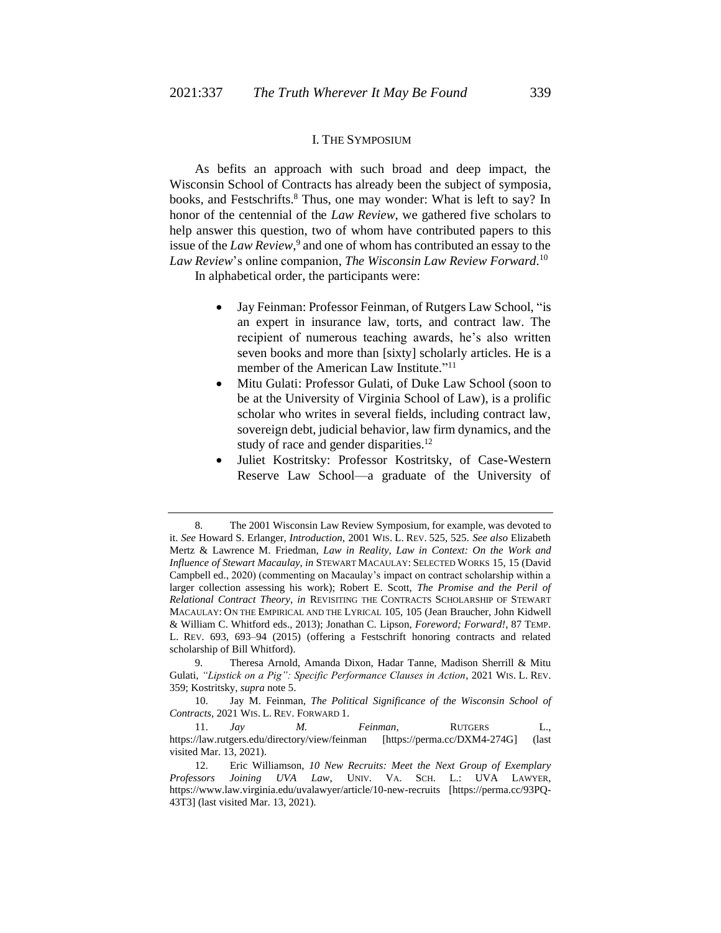#### <span id="page-2-2"></span><span id="page-2-0"></span>I. THE SYMPOSIUM

As befits an approach with such broad and deep impact, the Wisconsin School of Contracts has already been the subject of symposia, books, and Festschrifts. <sup>8</sup> Thus, one may wonder: What is left to say? In honor of the centennial of the *Law Review*, we gathered five scholars to help answer this question, two of whom have contributed papers to this issue of the *Law Review*, 9 and one of whom has contributed an essay to the *Law Review*'s online companion, *The Wisconsin Law Review Forward*. 10

In alphabetical order, the participants were:

- <span id="page-2-1"></span>• Jay Feinman: Professor Feinman, of Rutgers Law School, "is an expert in insurance law, torts, and contract law. The recipient of numerous teaching awards, he's also written seven books and more than [sixty] scholarly articles. He is a member of the American Law Institute."<sup>11</sup>
- Mitu Gulati: Professor Gulati, of Duke Law School (soon to be at the University of Virginia School of Law), is a prolific scholar who writes in several fields, including contract law, sovereign debt, judicial behavior, law firm dynamics, and the study of race and gender disparities.<sup>12</sup>
- Juliet Kostritsky: Professor Kostritsky, of Case-Western Reserve Law School—a graduate of the University of

<sup>8.</sup> The 2001 Wisconsin Law Review Symposium, for example, was devoted to it. *See* Howard S. Erlanger, *Introduction*, 2001 WIS. L. REV. 525, 525. *See also* Elizabeth Mertz & Lawrence M. Friedman, *Law in Reality, Law in Context: On the Work and Influence of Stewart Macaulay*, *in* STEWART MACAULAY: SELECTED WORKS 15, 15 (David Campbell ed., 2020) (commenting on Macaulay's impact on contract scholarship within a larger collection assessing his work); Robert E. Scott, *The Promise and the Peril of Relational Contract Theory*, *in* REVISITING THE CONTRACTS SCHOLARSHIP OF STEWART MACAULAY: ON THE EMPIRICAL AND THE LYRICAL 105, 105 (Jean Braucher, John Kidwell & William C. Whitford eds., 2013); Jonathan C. Lipson, *Foreword; Forward!*, 87 TEMP. L. REV. 693, 693–94 (2015) (offering a Festschrift honoring contracts and related scholarship of Bill Whitford).

<sup>9.</sup> Theresa Arnold, Amanda Dixon, Hadar Tanne, Madison Sherrill & Mitu Gulati, *"Lipstick on a Pig": Specific Performance Clauses in Action*, 2021 WIS. L. REV. 359; Kostritsky, *supra* not[e 5.](#page-1-0)

<sup>10.</sup> Jay M. Feinman, *The Political Significance of the Wisconsin School of Contracts*, 2021 WIS. L. REV. FORWARD 1.

<sup>11.</sup> *Jay M. Feinman*, RUTGERS L., https://law.rutgers.edu/directory/view/feinman [https://perma.cc/DXM4-274G] (last visited Mar. 13, 2021).

<sup>12.</sup> Eric Williamson, *10 New Recruits: Meet the Next Group of Exemplary Professors Joining UVA Law*, UNIV. VA. SCH. L.: UVA LAWYER, https://www.law.virginia.edu/uvalawyer/article/10-new-recruits [https://perma.cc/93PQ-43T3] (last visited Mar. 13, 2021).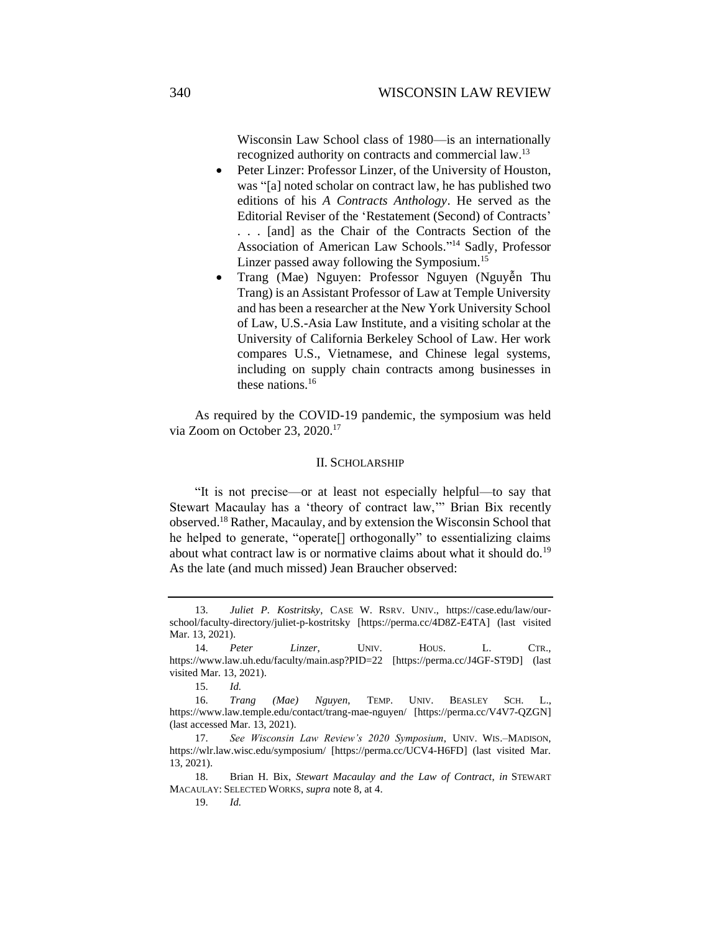Wisconsin Law School class of 1980—is an internationally recognized authority on contracts and commercial law.<sup>13</sup>

- Peter Linzer: Professor Linzer, of the University of Houston, was "[a] noted scholar on contract law, he has published two editions of his *A Contracts Anthology*. He served as the Editorial Reviser of the 'Restatement (Second) of Contracts' . . . [and] as the Chair of the Contracts Section of the Association of American Law Schools." <sup>14</sup> Sadly, Professor Linzer passed away following the Symposium.<sup>15</sup>
- Trang (Mae) Nguyen: Professor Nguyen (Nguyễn Thu Trang) is an Assistant Professor of Law at Temple University and has been a researcher at the New York University School of Law, U.S.-Asia Law Institute, and a visiting scholar at the University of California Berkeley School of Law. Her work compares U.S., Vietnamese, and Chinese legal systems, including on supply chain contracts among businesses in these nations.<sup>16</sup>

As required by the COVID-19 pandemic, the symposium was held via Zoom on October 23, 2020.<sup>17</sup>

#### II. SCHOLARSHIP

"It is not precise—or at least not especially helpful—to say that Stewart Macaulay has a 'theory of contract law,'" Brian Bix recently observed.<sup>18</sup> Rather, Macaulay, and by extension the Wisconsin School that he helped to generate, "operate[] orthogonally" to essentializing claims about what contract law is or normative claims about what it should do.<sup>19</sup> As the late (and much missed) Jean Braucher observed:

<sup>13.</sup> *Juliet P. Kostritsky*, CASE W. RSRV. UNIV., https://case.edu/law/ourschool/faculty-directory/juliet-p-kostritsky [https://perma.cc/4D8Z-E4TA] (last visited Mar. 13, 2021).

<sup>14.</sup> *Peter Linzer*, UNIV. HOUS. L. CTR., https://www.law.uh.edu/faculty/main.asp?PID=22 [https://perma.cc/J4GF-ST9D] (last visited Mar. 13, 2021).

<sup>15.</sup> *Id.*

<sup>16.</sup> *Trang (Mae) Nguyen*, TEMP. UNIV. BEASLEY SCH. L., https://www.law.temple.edu/contact/trang-mae-nguyen/ [https://perma.cc/V4V7-QZGN] (last accessed Mar. 13, 2021).

<sup>17.</sup> *See Wisconsin Law Review's 2020 Symposium*, UNIV. WIS.–MADISON, https://wlr.law.wisc.edu/symposium/ [https://perma.cc/UCV4-H6FD] (last visited Mar. 13, 2021).

<sup>18.</sup> Brian H. Bix, *Stewart Macaulay and the Law of Contract*, *in* STEWART MACAULAY: SELECTED WORKS, *supra* not[e 8,](#page-2-0) at 4.

<sup>19.</sup> *Id.*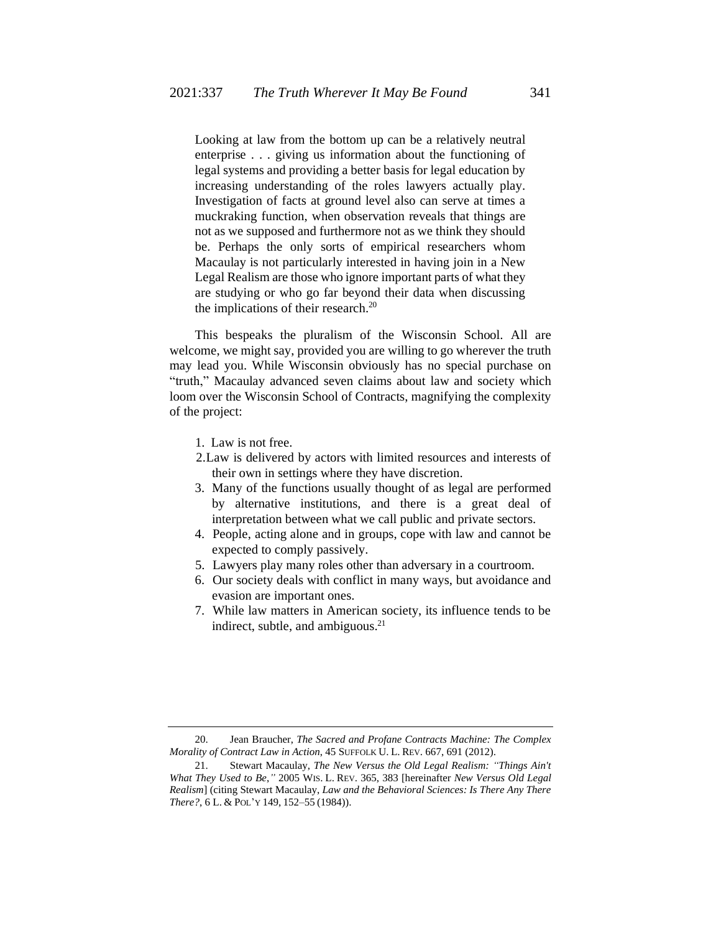Looking at law from the bottom up can be a relatively neutral enterprise . . . giving us information about the functioning of legal systems and providing a better basis for legal education by increasing understanding of the roles lawyers actually play. Investigation of facts at ground level also can serve at times a muckraking function, when observation reveals that things are not as we supposed and furthermore not as we think they should be. Perhaps the only sorts of empirical researchers whom Macaulay is not particularly interested in having join in a New Legal Realism are those who ignore important parts of what they are studying or who go far beyond their data when discussing the implications of their research.<sup>20</sup>

This bespeaks the pluralism of the Wisconsin School. All are welcome, we might say, provided you are willing to go wherever the truth may lead you. While Wisconsin obviously has no special purchase on "truth," Macaulay advanced seven claims about law and society which loom over the Wisconsin School of Contracts, magnifying the complexity of the project:

- 1. Law is not free.
- 2.Law is delivered by actors with limited resources and interests of their own in settings where they have discretion.
- 3. Many of the functions usually thought of as legal are performed by alternative institutions, and there is a great deal of interpretation between what we call public and private sectors.
- 4. People, acting alone and in groups, cope with law and cannot be expected to comply passively.
- 5. Lawyers play many roles other than adversary in a courtroom.
- 6. Our society deals with conflict in many ways, but avoidance and evasion are important ones.
- <span id="page-4-0"></span>7. While law matters in American society, its influence tends to be indirect, subtle, and ambiguous. $21$

<sup>20.</sup> Jean Braucher, *The Sacred and Profane Contracts Machine: The Complex Morality of Contract Law in Action*, 45 SUFFOLK U. L. REV. 667, 691 (2012).

<sup>21.</sup> Stewart Macaulay, *The New Versus the Old Legal Realism: "Things Ain't What They Used to Be*,*"* 2005 WIS. L. REV. 365, 383 [hereinafter *New Versus Old Legal Realism*] (citing Stewart Macaulay, *Law and the Behavioral Sciences: Is There Any There There?*, 6 L. & POL'Y 149, 152–55 (1984)).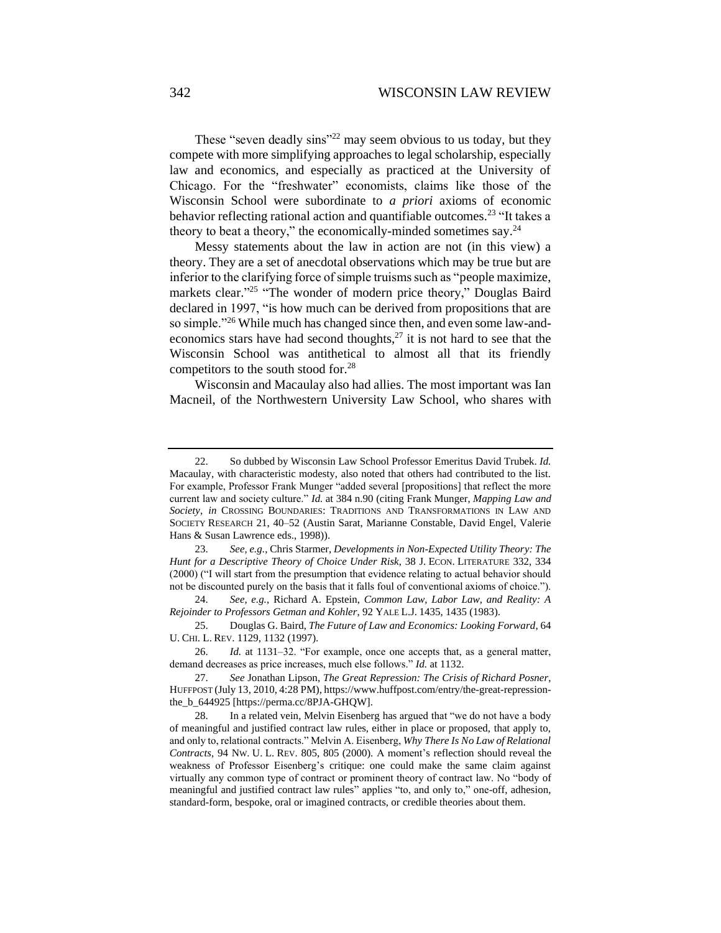These "seven deadly sins"<sup>22</sup> may seem obvious to us today, but they compete with more simplifying approaches to legal scholarship, especially law and economics, and especially as practiced at the University of Chicago. For the "freshwater" economists, claims like those of the Wisconsin School were subordinate to *a priori* axioms of economic behavior reflecting rational action and quantifiable outcomes.<sup>23</sup> "It takes a theory to beat a theory," the economically-minded sometimes say. $^{24}$ 

Messy statements about the law in action are not (in this view) a theory. They are a set of anecdotal observations which may be true but are inferior to the clarifying force of simple truisms such as "people maximize, markets clear."<sup>25</sup> "The wonder of modern price theory," Douglas Baird declared in 1997, "is how much can be derived from propositions that are so simple."<sup>26</sup> While much has changed since then, and even some law-andeconomics stars have had second thoughts, $^{27}$  it is not hard to see that the Wisconsin School was antithetical to almost all that its friendly competitors to the south stood for.<sup>28</sup>

Wisconsin and Macaulay also had allies. The most important was Ian Macneil, of the Northwestern University Law School, who shares with

<sup>22.</sup> So dubbed by Wisconsin Law School Professor Emeritus David Trubek. *Id.* Macaulay, with characteristic modesty, also noted that others had contributed to the list. For example, Professor Frank Munger "added several [propositions] that reflect the more current law and society culture." *Id.* at 384 n.90 (citing Frank Munger, *Mapping Law and Society*, *in* CROSSING BOUNDARIES: TRADITIONS AND TRANSFORMATIONS IN LAW AND SOCIETY RESEARCH 21, 40–52 (Austin Sarat, Marianne Constable, David Engel, Valerie Hans & Susan Lawrence eds., 1998)).

<sup>23.</sup> *See, e.g.*, Chris Starmer, *Developments in Non-Expected Utility Theory: The Hunt for a Descriptive Theory of Choice Under Risk*, 38 J. ECON. LITERATURE 332, 334 (2000) ("I will start from the presumption that evidence relating to actual behavior should not be discounted purely on the basis that it falls foul of conventional axioms of choice.").

<sup>24.</sup> *See, e.g.*, Richard A. Epstein, *Common Law, Labor Law, and Reality: A Rejoinder to Professors Getman and Kohler*, 92 YALE L.J. 1435, 1435 (1983).

<sup>25.</sup> Douglas G. Baird, *The Future of Law and Economics: Looking Forward*, 64 U. CHI. L. REV. 1129, 1132 (1997).

<sup>26.</sup> *Id.* at 1131–32. "For example, once one accepts that, as a general matter, demand decreases as price increases, much else follows." *Id.* at 1132.

<sup>27.</sup> *See* Jonathan Lipson, *The Great Repression: The Crisis of Richard Posner*, HUFFPOST (July 13, 2010, 4:28 PM), https://www.huffpost.com/entry/the-great-repressionthe\_b\_644925 [https://perma.cc/8PJA-GHQW].

<sup>28.</sup> In a related vein, Melvin Eisenberg has argued that "we do not have a body of meaningful and justified contract law rules, either in place or proposed, that apply to, and only to, relational contracts." Melvin A. Eisenberg, *Why There Is No Law of Relational Contracts*, 94 NW. U. L. REV. 805, 805 (2000). A moment's reflection should reveal the weakness of Professor Eisenberg's critique: one could make the same claim against virtually any common type of contract or prominent theory of contract law. No "body of meaningful and justified contract law rules" applies "to, and only to," one-off, adhesion, standard-form, bespoke, oral or imagined contracts, or credible theories about them.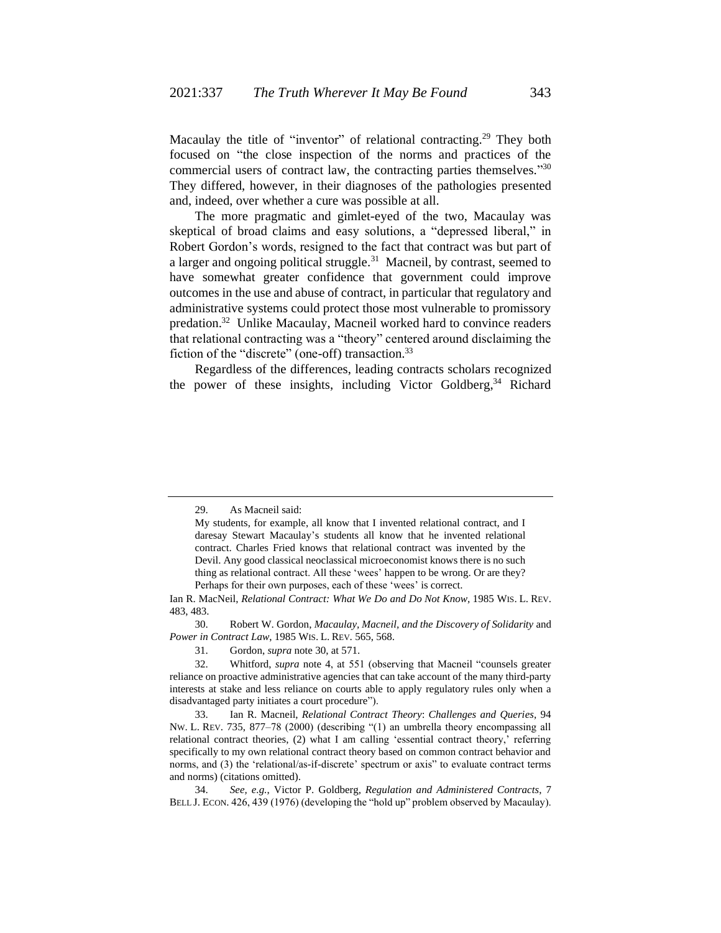<span id="page-6-0"></span>Macaulay the title of "inventor" of relational contracting.<sup>29</sup> They both focused on "the close inspection of the norms and practices of the commercial users of contract law, the contracting parties themselves."30 They differed, however, in their diagnoses of the pathologies presented and, indeed, over whether a cure was possible at all.

The more pragmatic and gimlet-eyed of the two, Macaulay was skeptical of broad claims and easy solutions, a "depressed liberal," in Robert Gordon's words, resigned to the fact that contract was but part of a larger and ongoing political struggle.<sup>31</sup> Macneil, by contrast, seemed to have somewhat greater confidence that government could improve outcomes in the use and abuse of contract, in particular that regulatory and administrative systems could protect those most vulnerable to promissory predation.<sup>32</sup> Unlike Macaulay, Macneil worked hard to convince readers that relational contracting was a "theory" centered around disclaiming the fiction of the "discrete" (one-off) transaction.<sup>33</sup>

Regardless of the differences, leading contracts scholars recognized the power of these insights, including Victor Goldberg,<sup>34</sup> Richard

30. Robert W. Gordon, *Macaulay, Macneil, and the Discovery of Solidarity* and *Power in Contract Law*, 1985 WIS. L. REV. 565, 568.

31. Gordon, *supra* not[e 30,](#page-6-0) at 571.

<sup>29.</sup> As Macneil said:

My students, for example, all know that I invented relational contract, and I daresay Stewart Macaulay's students all know that he invented relational contract. Charles Fried knows that relational contract was invented by the Devil. Any good classical neoclassical microeconomist knows there is no such thing as relational contract. All these 'wees' happen to be wrong. Or are they? Perhaps for their own purposes, each of these 'wees' is correct.

Ian R. MacNeil, *Relational Contract: What We Do and Do Not Know,* 1985 WIS. L. REV. 483, 483.

<sup>32.</sup> Whitford, *supra* note [4,](#page-1-1) at 551 (observing that Macneil "counsels greater reliance on proactive administrative agencies that can take account of the many third-party interests at stake and less reliance on courts able to apply regulatory rules only when a disadvantaged party initiates a court procedure").

<sup>33.</sup> Ian R. Macneil, *Relational Contract Theory*: *Challenges and Queries*, 94 NW. L. REV. 735, 877–78 (2000) (describing "(1) an umbrella theory encompassing all relational contract theories, (2) what I am calling 'essential contract theory,' referring specifically to my own relational contract theory based on common contract behavior and norms, and (3) the 'relational/as-if-discrete' spectrum or axis" to evaluate contract terms and norms) (citations omitted).

<sup>34.</sup> *See, e.g.*, Victor P. Goldberg, *Regulation and Administered Contracts*, 7 BELL J. ECON. 426, 439 (1976) (developing the "hold up" problem observed by Macaulay).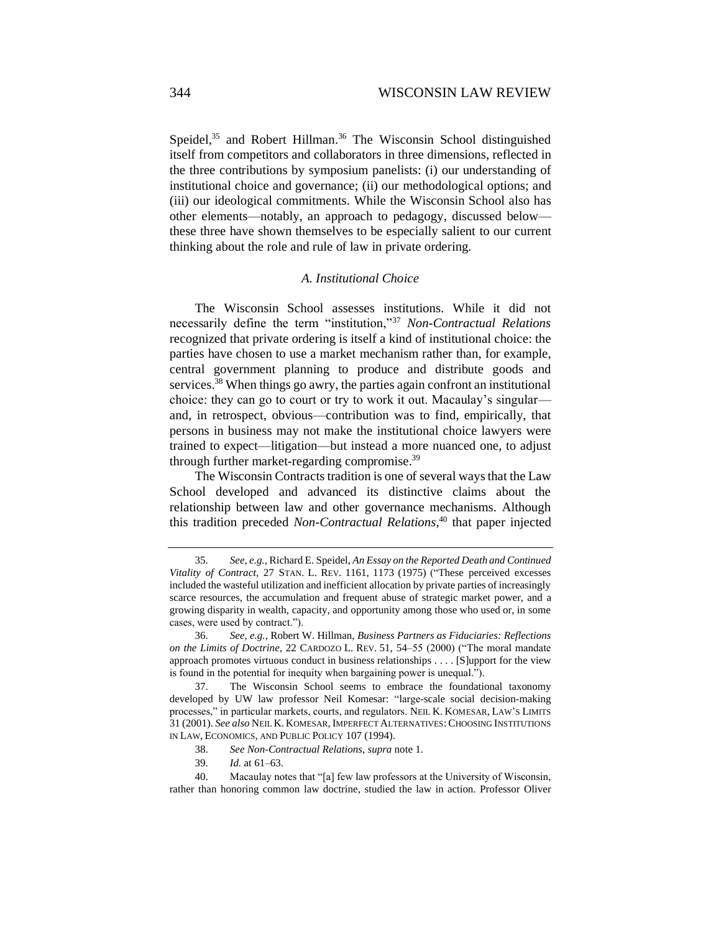Speidel,<sup>35</sup> and Robert Hillman.<sup>36</sup> The Wisconsin School distinguished itself from competitors and collaborators in three dimensions, reflected in the three contributions by symposium panelists: (i) our understanding of institutional choice and governance; (ii) our methodological options; and (iii) our ideological commitments. While the Wisconsin School also has other elements—notably, an approach to pedagogy, discussed below these three have shown themselves to be especially salient to our current thinking about the role and rule of law in private ordering.

# *A. Institutional Choice*

The Wisconsin School assesses institutions. While it did not necessarily define the term "institution,"<sup>37</sup> *Non-Contractual Relations*  recognized that private ordering is itself a kind of institutional choice: the parties have chosen to use a market mechanism rather than, for example, central government planning to produce and distribute goods and services.<sup>38</sup> When things go awry, the parties again confront an institutional choice: they can go to court or try to work it out. Macaulay's singular and, in retrospect, obvious—contribution was to find, empirically, that persons in business may not make the institutional choice lawyers were trained to expect—litigation—but instead a more nuanced one, to adjust through further market-regarding compromise.<sup>39</sup>

The Wisconsin Contracts tradition is one of several ways that the Law School developed and advanced its distinctive claims about the relationship between law and other governance mechanisms. Although this tradition preceded *Non-Contractual Relations*, <sup>40</sup> that paper injected

<sup>35.</sup> *See, e.g.*, Richard E. Speidel, *An Essay on the Reported Death and Continued Vitality of Contract*, 27 STAN. L. REV. 1161, 1173 (1975) ("These perceived excesses included the wasteful utilization and inefficient allocation by private parties of increasingly scarce resources, the accumulation and frequent abuse of strategic market power, and a growing disparity in wealth, capacity, and opportunity among those who used or, in some cases, were used by contract.").

<sup>36.</sup> *See, e.g.*, Robert W. Hillman, *Business Partners as Fiduciaries: Reflections on the Limits of Doctrine*, 22 CARDOZO L. REV. 51, 54–55 (2000) ("The moral mandate approach promotes virtuous conduct in business relationships . . . . [S]upport for the view is found in the potential for inequity when bargaining power is unequal.").

<sup>37.</sup> The Wisconsin School seems to embrace the foundational taxonomy developed by UW law professor Neil Komesar: "large-scale social decision-making processes," in particular markets, courts, and regulators. NEIL K. KOMESAR, LAW'S LIMITS 31 (2001). *See also* NEIL K. KOMESAR, IMPERFECT ALTERNATIVES:CHOOSING INSTITUTIONS IN LAW, ECONOMICS, AND PUBLIC POLICY 107 (1994).

<sup>38.</sup> *See Non-Contractual Relations*, *supra* not[e 1.](#page-0-0)

<sup>39.</sup> *Id.* at 61–63.

<sup>40.</sup> Macaulay notes that "[a] few law professors at the University of Wisconsin, rather than honoring common law doctrine, studied the law in action. Professor Oliver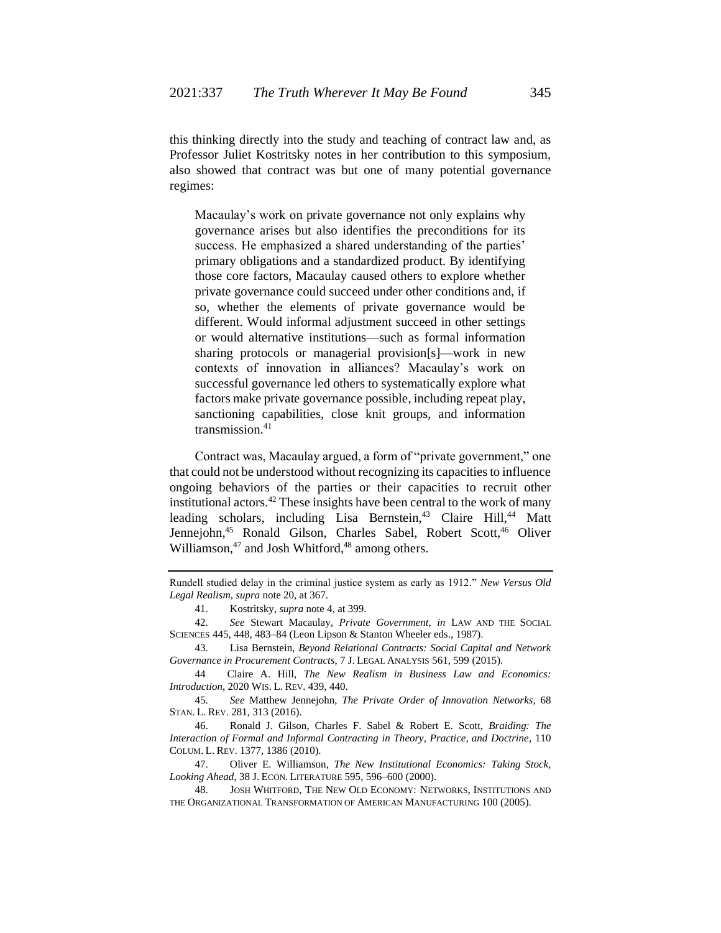this thinking directly into the study and teaching of contract law and, as Professor Juliet Kostritsky notes in her contribution to this symposium, also showed that contract was but one of many potential governance regimes:

Macaulay's work on private governance not only explains why governance arises but also identifies the preconditions for its success. He emphasized a shared understanding of the parties' primary obligations and a standardized product. By identifying those core factors, Macaulay caused others to explore whether private governance could succeed under other conditions and, if so, whether the elements of private governance would be different. Would informal adjustment succeed in other settings or would alternative institutions—such as formal information sharing protocols or managerial provision[s]—work in new contexts of innovation in alliances? Macaulay's work on successful governance led others to systematically explore what factors make private governance possible, including repeat play, sanctioning capabilities, close knit groups, and information transmission.<sup>41</sup>

Contract was, Macaulay argued, a form of "private government," one that could not be understood without recognizing its capacities to influence ongoing behaviors of the parties or their capacities to recruit other institutional actors.<sup>42</sup> These insights have been central to the work of many leading scholars, including Lisa Bernstein,<sup>43</sup> Claire Hill,<sup>44</sup> Matt Jennejohn,<sup>45</sup> Ronald Gilson, Charles Sabel, Robert Scott,<sup>46</sup> Oliver Williamson, $47$  and Josh Whitford, $48$  among others.

43. Lisa Bernstein, *Beyond Relational Contracts: Social Capital and Network Governance in Procurement Contracts*, 7 J. LEGAL ANALYSIS 561, 599 (2015).

Rundell studied delay in the criminal justice system as early as 1912." *New Versus Old Legal Realism*, *supra* note 20, at 367.

<sup>41.</sup> Kostritsky, *supra* note 4, at 399.

<sup>42.</sup> *See* Stewart Macaulay, *Private Government*, *in* LAW AND THE SOCIAL SCIENCES 445, 448, 483–84 (Leon Lipson & Stanton Wheeler eds., 1987).

<sup>44</sup> Claire A. Hill, *The New Realism in Business Law and Economics: Introduction*, 2020 WIS. L. REV. 439, 440.

<sup>45.</sup> *See* Matthew Jennejohn, *The Private Order of Innovation Networks*, 68 STAN. L. REV. 281, 313 (2016).

<sup>46.</sup> Ronald J. Gilson, Charles F. Sabel & Robert E. Scott, *Braiding: The Interaction of Formal and Informal Contracting in Theory, Practice, and Doctrine*, 110 COLUM. L. REV. 1377, 1386 (2010).

<sup>47.</sup> Oliver E. Williamson, *The New Institutional Economics: Taking Stock, Looking Ahead*, 38 J. ECON. LITERATURE 595, 596–600 (2000).

<sup>48.</sup> JOSH WHITFORD, THE NEW OLD ECONOMY: NETWORKS, INSTITUTIONS AND THE ORGANIZATIONAL TRANSFORMATION OF AMERICAN MANUFACTURING 100 (2005).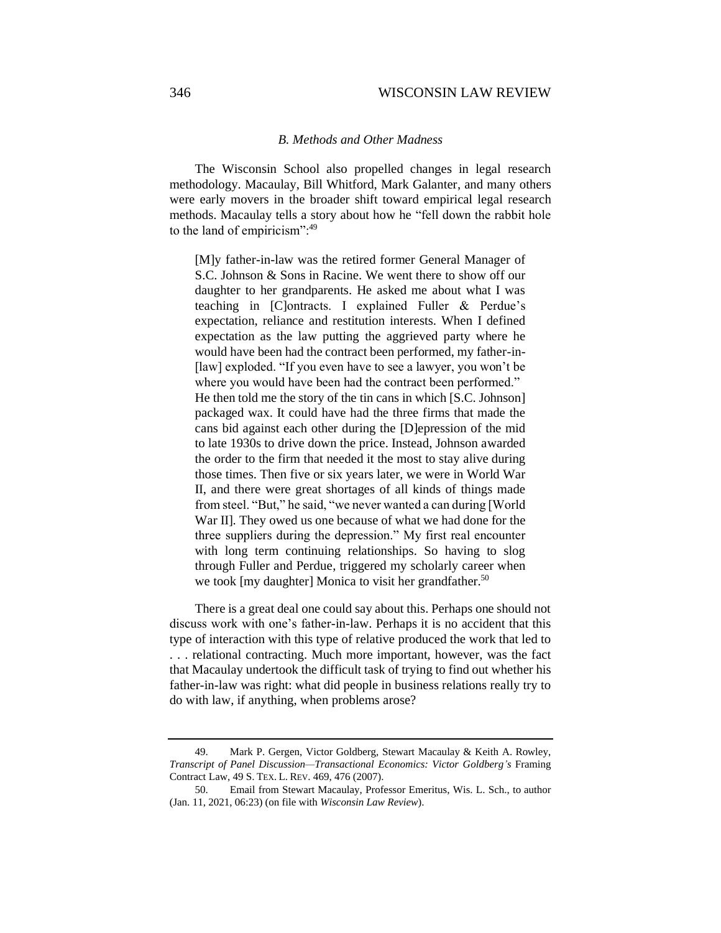# *B. Methods and Other Madness*

The Wisconsin School also propelled changes in legal research methodology. Macaulay, Bill Whitford, Mark Galanter, and many others were early movers in the broader shift toward empirical legal research methods. Macaulay tells a story about how he "fell down the rabbit hole to the land of empiricism":<sup>49</sup>

[M]y father-in-law was the retired former General Manager of S.C. Johnson & Sons in Racine. We went there to show off our daughter to her grandparents. He asked me about what I was teaching in [C]ontracts. I explained Fuller & Perdue's expectation, reliance and restitution interests. When I defined expectation as the law putting the aggrieved party where he would have been had the contract been performed, my father-in- [law] exploded. "If you even have to see a lawyer, you won't be where you would have been had the contract been performed." He then told me the story of the tin cans in which [S.C. Johnson] packaged wax. It could have had the three firms that made the cans bid against each other during the [D]epression of the mid to late 1930s to drive down the price. Instead, Johnson awarded the order to the firm that needed it the most to stay alive during those times. Then five or six years later, we were in World War II, and there were great shortages of all kinds of things made from steel. "But," he said, "we never wanted a can during [World War II]. They owed us one because of what we had done for the three suppliers during the depression." My first real encounter with long term continuing relationships. So having to slog through Fuller and Perdue, triggered my scholarly career when we took [my daughter] Monica to visit her grandfather.<sup>50</sup>

There is a great deal one could say about this. Perhaps one should not discuss work with one's father-in-law. Perhaps it is no accident that this type of interaction with this type of relative produced the work that led to . . . relational contracting. Much more important, however, was the fact that Macaulay undertook the difficult task of trying to find out whether his father-in-law was right: what did people in business relations really try to do with law, if anything, when problems arose?

<sup>49.</sup> Mark P. Gergen, Victor Goldberg, Stewart Macaulay & Keith A. Rowley, *Transcript of Panel Discussion—Transactional Economics: Victor Goldberg's* Framing Contract Law, 49 S. TEX. L. REV. 469, 476 (2007).

<sup>50.</sup> Email from Stewart Macaulay, Professor Emeritus, Wis. L. Sch., to author (Jan. 11, 2021, 06:23) (on file with *Wisconsin Law Review*).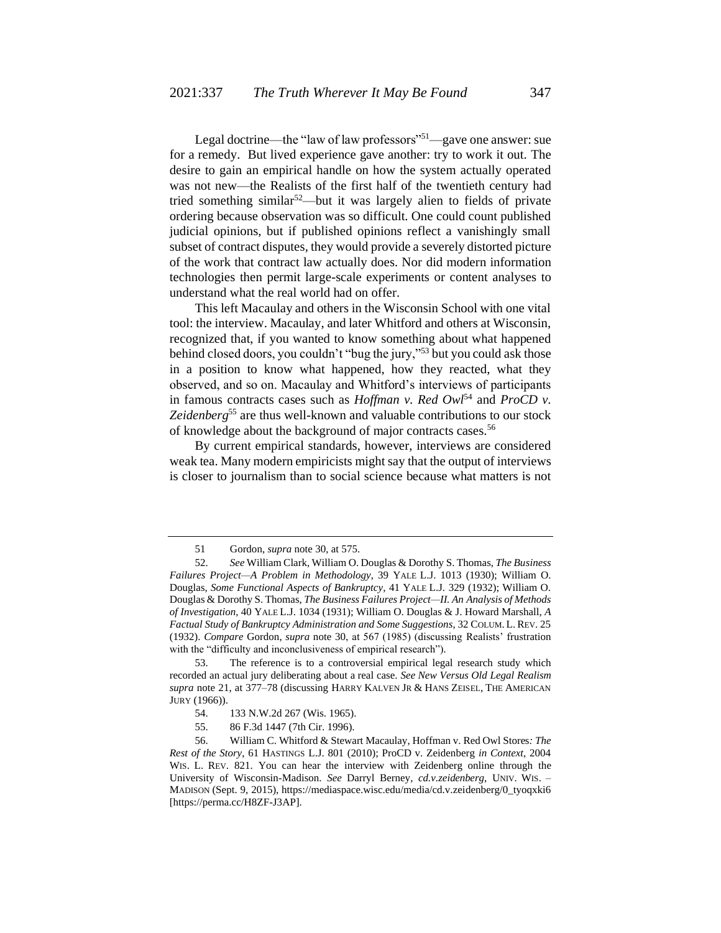Legal doctrine—the "law of law professors"<sup>51</sup>—gave one answer: sue for a remedy. But lived experience gave another: try to work it out. The desire to gain an empirical handle on how the system actually operated was not new—the Realists of the first half of the twentieth century had tried something similar<sup>52</sup>—but it was largely alien to fields of private ordering because observation was so difficult. One could count published judicial opinions, but if published opinions reflect a vanishingly small subset of contract disputes, they would provide a severely distorted picture of the work that contract law actually does. Nor did modern information technologies then permit large-scale experiments or content analyses to understand what the real world had on offer.

This left Macaulay and others in the Wisconsin School with one vital tool: the interview. Macaulay, and later Whitford and others at Wisconsin, recognized that, if you wanted to know something about what happened behind closed doors, you couldn't "bug the jury,"<sup>53</sup> but you could ask those in a position to know what happened, how they reacted, what they observed, and so on. Macaulay and Whitford's interviews of participants in famous contracts cases such as *Hoffman v. Red Owl*<sup>54</sup> and *ProCD v.* Zeidenberg<sup>55</sup> are thus well-known and valuable contributions to our stock of knowledge about the background of major contracts cases.<sup>56</sup>

By current empirical standards, however, interviews are considered weak tea. Many modern empiricists might say that the output of interviews is closer to journalism than to social science because what matters is not

53. The reference is to a controversial empirical legal research study which recorded an actual jury deliberating about a real case. *See New Versus Old Legal Realism supra* note [21,](#page-4-0) at 377–78 (discussing HARRY KALVEN JR & HANS ZEISEL, THE AMERICAN JURY (1966)).

<sup>51</sup> Gordon, *supra* not[e 30,](#page-6-0) at 575.

<sup>52.</sup> *See* William Clark, William O. Douglas & Dorothy S. Thomas, *The Business Failures Project—A Problem in Methodology*, 39 YALE L.J. 1013 (1930); William O. Douglas, *Some Functional Aspects of Bankruptcy*, 41 YALE L.J. 329 (1932); William O. Douglas & Dorothy S. Thomas, *The Business Failures Project—II. An Analysis of Methods of Investigation*, 40 YALE L.J. 1034 (1931); William O. Douglas & J. Howard Marshall, *A Factual Study of Bankruptcy Administration and Some Suggestions*, 32 COLUM. L. REV. 25 (1932). *Compare* Gordon, *supra* note [30,](#page-6-0) at 567 (1985) (discussing Realists' frustration with the "difficulty and inconclusiveness of empirical research")*.*

<sup>54.</sup> 133 N.W.2d 267 (Wis. 1965).

<sup>55.</sup> 86 F.3d 1447 (7th Cir. 1996).

<sup>56.</sup> William C. Whitford & Stewart Macaulay, Hoffman v. Red Owl Stores*: The Rest of the Story*, 61 HASTINGS L.J. 801 (2010); ProCD v. Zeidenberg *in Context*, 2004 WIS. L. REV. 821. You can hear the interview with Zeidenberg online through the University of Wisconsin-Madison. *See* Darryl Berney, *cd.v.zeidenberg*, UNIV. WIS. – MADISON (Sept. 9, 2015), https://mediaspace.wisc.edu/media/cd.v.zeidenberg/0\_tyoqxki6 [https://perma.cc/H8ZF-J3AP].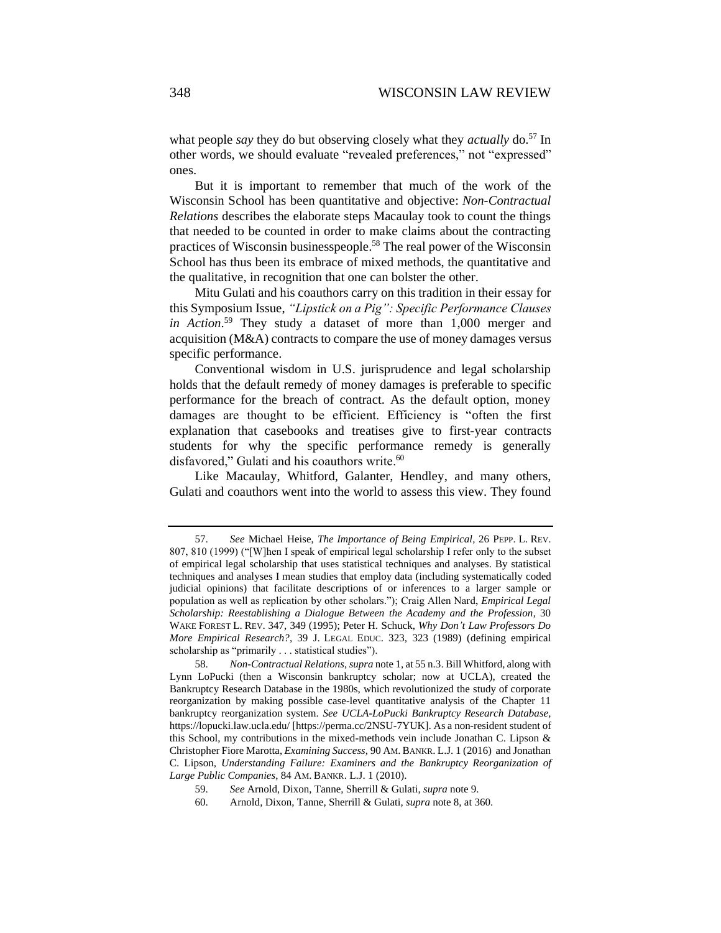what people *say* they do but observing closely what they *actually* do.<sup>57</sup> In other words, we should evaluate "revealed preferences," not "expressed" ones.

But it is important to remember that much of the work of the Wisconsin School has been quantitative and objective: *Non-Contractual Relations* describes the elaborate steps Macaulay took to count the things that needed to be counted in order to make claims about the contracting practices of Wisconsin businesspeople.<sup>58</sup> The real power of the Wisconsin School has thus been its embrace of mixed methods, the quantitative and the qualitative, in recognition that one can bolster the other.

Mitu Gulati and his coauthors carry on this tradition in their essay for this Symposium Issue, *"Lipstick on a Pig": Specific Performance Clauses in Action*. <sup>59</sup> They study a dataset of more than 1,000 merger and acquisition (M&A) contracts to compare the use of money damages versus specific performance.

Conventional wisdom in U.S. jurisprudence and legal scholarship holds that the default remedy of money damages is preferable to specific performance for the breach of contract. As the default option, money damages are thought to be efficient. Efficiency is "often the first explanation that casebooks and treatises give to first-year contracts students for why the specific performance remedy is generally disfavored," Gulati and his coauthors write.<sup>60</sup>

Like Macaulay, Whitford, Galanter, Hendley, and many others, Gulati and coauthors went into the world to assess this view. They found

<sup>57.</sup> *See* Michael Heise, *The Importance of Being Empirical*, 26 PEPP. L. REV. 807, 810 (1999) ("[W]hen I speak of empirical legal scholarship I refer only to the subset of empirical legal scholarship that uses statistical techniques and analyses. By statistical techniques and analyses I mean studies that employ data (including systematically coded judicial opinions) that facilitate descriptions of or inferences to a larger sample or population as well as replication by other scholars."); Craig Allen Nard, *Empirical Legal Scholarship: Reestablishing a Dialogue Between the Academy and the Profession*, 30 WAKE FOREST L. REV. 347, 349 (1995); Peter H. Schuck, *Why Don't Law Professors Do More Empirical Research?*, 39 J. LEGAL EDUC. 323, 323 (1989) (defining empirical scholarship as "primarily . . . statistical studies").

<sup>58.</sup> *Non-Contractual Relations*, *supra* note 1, at 55 n.3. Bill Whitford, along with Lynn LoPucki (then a Wisconsin bankruptcy scholar; now at UCLA), created the Bankruptcy Research Database in the 1980s, which revolutionized the study of corporate reorganization by making possible case-level quantitative analysis of the Chapter 11 bankruptcy reorganization system. *See UCLA-LoPucki Bankruptcy Research Database*, https://lopucki.law.ucla.edu/ [https://perma.cc/2NSU-7YUK]. As a non-resident student of this School, my contributions in the mixed-methods vein include Jonathan C. Lipson & Christopher Fiore Marotta, *Examining Success*, 90 AM.BANKR. L.J. 1 (2016) and Jonathan C. Lipson, *Understanding Failure: Examiners and the Bankruptcy Reorganization of Large Public Companies*, 84 AM. BANKR. L.J. 1 (2010).

<sup>59.</sup> *See* Arnold, Dixon, Tanne, Sherrill & Gulati, *supra* note [9.](#page-2-1)

<sup>60.</sup> Arnold, Dixon, Tanne, Sherrill & Gulati, *supra* note 8, at 360.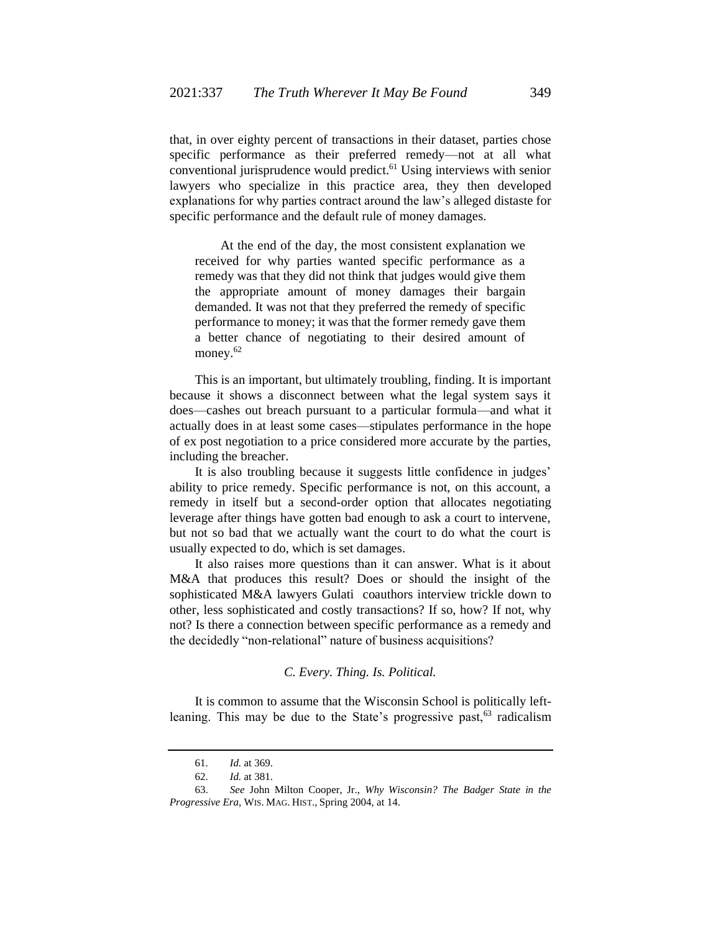that, in over eighty percent of transactions in their dataset, parties chose specific performance as their preferred remedy—not at all what conventional jurisprudence would predict.<sup>61</sup> Using interviews with senior lawyers who specialize in this practice area, they then developed explanations for why parties contract around the law's alleged distaste for specific performance and the default rule of money damages.

At the end of the day, the most consistent explanation we received for why parties wanted specific performance as a remedy was that they did not think that judges would give them the appropriate amount of money damages their bargain demanded. It was not that they preferred the remedy of specific performance to money; it was that the former remedy gave them a better chance of negotiating to their desired amount of money.<sup>62</sup>

This is an important, but ultimately troubling, finding. It is important because it shows a disconnect between what the legal system says it does—cashes out breach pursuant to a particular formula—and what it actually does in at least some cases—stipulates performance in the hope of ex post negotiation to a price considered more accurate by the parties, including the breacher.

It is also troubling because it suggests little confidence in judges' ability to price remedy. Specific performance is not, on this account, a remedy in itself but a second-order option that allocates negotiating leverage after things have gotten bad enough to ask a court to intervene, but not so bad that we actually want the court to do what the court is usually expected to do, which is set damages.

It also raises more questions than it can answer. What is it about M&A that produces this result? Does or should the insight of the sophisticated M&A lawyers Gulati coauthors interview trickle down to other, less sophisticated and costly transactions? If so, how? If not, why not? Is there a connection between specific performance as a remedy and the decidedly "non-relational" nature of business acquisitions?

# *C. Every. Thing. Is. Political.*

It is common to assume that the Wisconsin School is politically leftleaning. This may be due to the State's progressive past,  $63$  radicalism

<sup>61.</sup> *Id.* at 369.

<sup>62.</sup> *Id.* at 381.

<sup>63.</sup> *See* John Milton Cooper, Jr., *Why Wisconsin? The Badger State in the Progressive Era*, WIS. MAG. HIST., Spring 2004, at 14.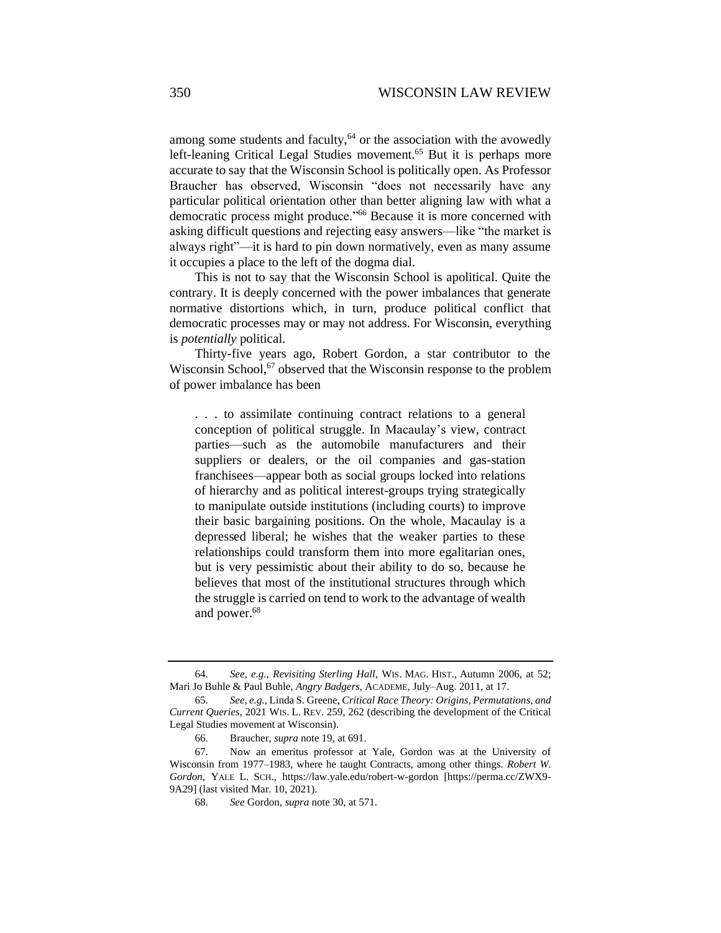among some students and faculty,<sup>64</sup> or the association with the avowedly left-leaning Critical Legal Studies movement.<sup>65</sup> But it is perhaps more accurate to say that the Wisconsin School is politically open. As Professor Braucher has observed, Wisconsin "does not necessarily have any particular political orientation other than better aligning law with what a democratic process might produce."<sup>66</sup> Because it is more concerned with asking difficult questions and rejecting easy answers—like "the market is always right"—it is hard to pin down normatively, even as many assume it occupies a place to the left of the dogma dial.

This is not to say that the Wisconsin School is apolitical. Quite the contrary. It is deeply concerned with the power imbalances that generate normative distortions which, in turn, produce political conflict that democratic processes may or may not address. For Wisconsin, everything is *potentially* political.

Thirty-five years ago, Robert Gordon, a star contributor to the Wisconsin School, $67$  observed that the Wisconsin response to the problem of power imbalance has been

. . . to assimilate continuing contract relations to a general conception of political struggle. In Macaulay's view, contract parties—such as the automobile manufacturers and their suppliers or dealers, or the oil companies and gas-station franchisees—appear both as social groups locked into relations of hierarchy and as political interest-groups trying strategically to manipulate outside institutions (including courts) to improve their basic bargaining positions. On the whole, Macaulay is a depressed liberal; he wishes that the weaker parties to these relationships could transform them into more egalitarian ones, but is very pessimistic about their ability to do so, because he believes that most of the institutional structures through which the struggle is carried on tend to work to the advantage of wealth and power.<sup>68</sup>

<sup>64.</sup> *See, e.g.*, *Revisiting Sterling Hall*, WIS. MAG. HIST., Autumn 2006, at 52; Mari Jo Buhle & Paul Buhle, *Angry Badgers*, ACADEME, July–Aug. 2011, at 17.

<sup>65.</sup> *See, e.g.*, Linda S. Greene, *Critical Race Theory: Origins, Permutations, and Current Queries*, 2021 WIS. L. REV. 259, 262 (describing the development of the Critical Legal Studies movement at Wisconsin).

<sup>66.</sup> Braucher, *supra* note 19, at 691.

<sup>67.</sup> Now an emeritus professor at Yale, Gordon was at the University of Wisconsin from 1977–1983, where he taught Contracts, among other things. *Robert W. Gordon*, YALE L. SCH., https://law.yale.edu/robert-w-gordon [https://perma.cc/ZWX9- 9A29] (last visited Mar. 10, 2021).

<sup>68.</sup> *See* Gordon, *supra* not[e 30,](#page-6-0) at 571.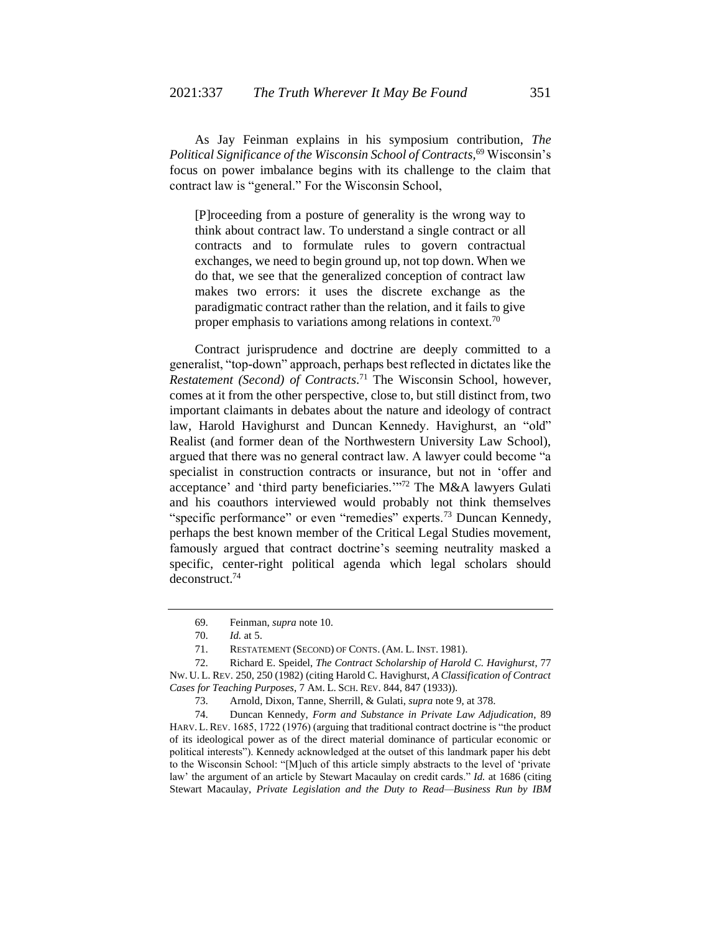As Jay Feinman explains in his symposium contribution, *The Political Significance of the Wisconsin School of Contracts*, <sup>69</sup> Wisconsin's focus on power imbalance begins with its challenge to the claim that contract law is "general." For the Wisconsin School,

[P]roceeding from a posture of generality is the wrong way to think about contract law. To understand a single contract or all contracts and to formulate rules to govern contractual exchanges, we need to begin ground up, not top down. When we do that, we see that the generalized conception of contract law makes two errors: it uses the discrete exchange as the paradigmatic contract rather than the relation, and it fails to give proper emphasis to variations among relations in context.<sup>70</sup>

Contract jurisprudence and doctrine are deeply committed to a generalist, "top-down" approach, perhaps best reflected in dictates like the *Restatement (Second) of Contracts*. <sup>71</sup> The Wisconsin School, however, comes at it from the other perspective, close to, but still distinct from, two important claimants in debates about the nature and ideology of contract law, Harold Havighurst and Duncan Kennedy. Havighurst, an "old" Realist (and former dean of the Northwestern University Law School), argued that there was no general contract law. A lawyer could become "a specialist in construction contracts or insurance, but not in 'offer and acceptance' and 'third party beneficiaries.'" <sup>72</sup> The M&A lawyers Gulati and his coauthors interviewed would probably not think themselves "specific performance" or even "remedies" experts.<sup>73</sup> Duncan Kennedy, perhaps the best known member of the Critical Legal Studies movement, famously argued that contract doctrine's seeming neutrality masked a specific, center-right political agenda which legal scholars should deconstruct.<sup>74</sup>

<sup>69.</sup> Feinman, *supra* note [10.](#page-2-2)

<sup>70.</sup> *Id.* at 5.

<sup>71.</sup> RESTATEMENT (SECOND) OF CONTS. (AM. L. INST. 1981).

<sup>72.</sup> Richard E. Speidel, *The Contract Scholarship of Harold C. Havighurst*, 77 NW. U. L. REV. 250, 250 (1982) (citing Harold C. Havighurst, *A Classification of Contract Cases for Teaching Purposes*, 7 AM. L. SCH. REV. 844, 847 (1933)).

<sup>73.</sup> Arnold, Dixon, Tanne, Sherrill, & Gulati, *supra* not[e 9,](#page-2-1) at 378.

<sup>74.</sup> Duncan Kennedy, *Form and Substance in Private Law Adjudication*, 89 HARV. L.REV. 1685, 1722 (1976) (arguing that traditional contract doctrine is "the product of its ideological power as of the direct material dominance of particular economic or political interests"). Kennedy acknowledged at the outset of this landmark paper his debt to the Wisconsin School: "[M]uch of this article simply abstracts to the level of 'private law' the argument of an article by Stewart Macaulay on credit cards." *Id.* at 1686 (citing Stewart Macaulay, *Private Legislation and the Duty to Read—Business Run by IBM*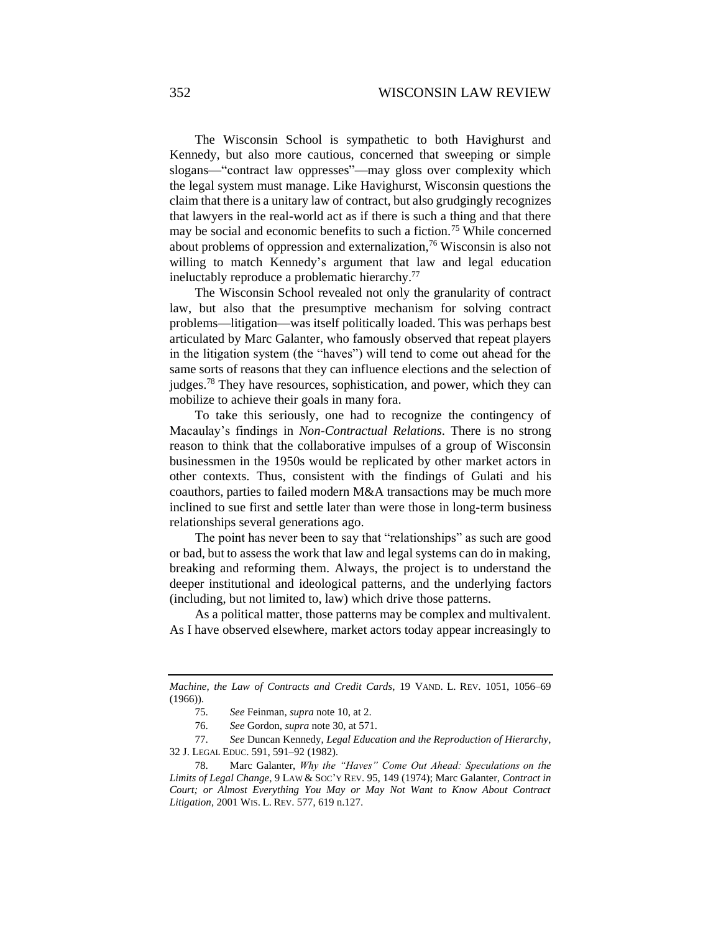# 352 WISCONSIN LAW REVIEW

The Wisconsin School is sympathetic to both Havighurst and Kennedy, but also more cautious, concerned that sweeping or simple slogans—"contract law oppresses"—may gloss over complexity which the legal system must manage. Like Havighurst, Wisconsin questions the claim that there is a unitary law of contract, but also grudgingly recognizes that lawyers in the real-world act as if there is such a thing and that there may be social and economic benefits to such a fiction.<sup>75</sup> While concerned about problems of oppression and externalization,<sup>76</sup> Wisconsin is also not willing to match Kennedy's argument that law and legal education ineluctably reproduce a problematic hierarchy.<sup>77</sup>

The Wisconsin School revealed not only the granularity of contract law, but also that the presumptive mechanism for solving contract problems—litigation—was itself politically loaded. This was perhaps best articulated by Marc Galanter, who famously observed that repeat players in the litigation system (the "haves") will tend to come out ahead for the same sorts of reasons that they can influence elections and the selection of judges.<sup>78</sup> They have resources, sophistication, and power, which they can mobilize to achieve their goals in many fora.

To take this seriously, one had to recognize the contingency of Macaulay's findings in *Non-Contractual Relations*. There is no strong reason to think that the collaborative impulses of a group of Wisconsin businessmen in the 1950s would be replicated by other market actors in other contexts. Thus, consistent with the findings of Gulati and his coauthors, parties to failed modern M&A transactions may be much more inclined to sue first and settle later than were those in long-term business relationships several generations ago.

The point has never been to say that "relationships" as such are good or bad, but to assess the work that law and legal systems can do in making, breaking and reforming them. Always, the project is to understand the deeper institutional and ideological patterns, and the underlying factors (including, but not limited to, law) which drive those patterns.

As a political matter, those patterns may be complex and multivalent. As I have observed elsewhere, market actors today appear increasingly to

*Machine, the Law of Contracts and Credit Cards*, 19 VAND. L. REV. 1051, 1056–69 (1966)).

<sup>75.</sup> *See* Feinman, *supra* not[e 10,](#page-2-2) at 2.

<sup>76.</sup> *See* Gordon, *supra* not[e 30,](#page-6-0) at 571.

<sup>77.</sup> *See* Duncan Kennedy, *Legal Education and the Reproduction of Hierarchy*, 32 J. LEGAL EDUC. 591, 591–92 (1982).

<sup>78.</sup> Marc Galanter, *Why the "Haves" Come Out Ahead: Speculations on the Limits of Legal Change*, 9 LAW & SOC'Y REV. 95, 149 (1974); Marc Galanter, *Contract in Court; or Almost Everything You May or May Not Want to Know About Contract Litigation*, 2001 WIS. L. REV. 577, 619 n.127.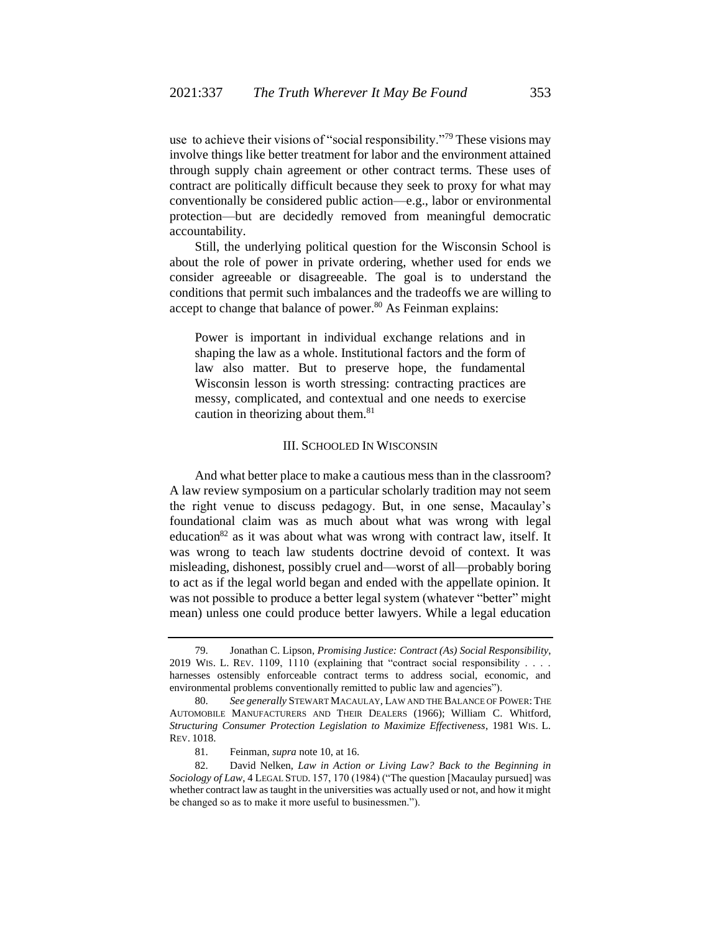use to achieve their visions of "social responsibility."<sup>79</sup> These visions may involve things like better treatment for labor and the environment attained through supply chain agreement or other contract terms. These uses of contract are politically difficult because they seek to proxy for what may conventionally be considered public action—e.g., labor or environmental protection—but are decidedly removed from meaningful democratic accountability.

Still, the underlying political question for the Wisconsin School is about the role of power in private ordering, whether used for ends we consider agreeable or disagreeable. The goal is to understand the conditions that permit such imbalances and the tradeoffs we are willing to accept to change that balance of power.<sup>80</sup> As Feinman explains:

Power is important in individual exchange relations and in shaping the law as a whole. Institutional factors and the form of law also matter. But to preserve hope, the fundamental Wisconsin lesson is worth stressing: contracting practices are messy, complicated, and contextual and one needs to exercise caution in theorizing about them.<sup>81</sup>

# III. SCHOOLED IN WISCONSIN

And what better place to make a cautious mess than in the classroom? A law review symposium on a particular scholarly tradition may not seem the right venue to discuss pedagogy. But, in one sense, Macaulay's foundational claim was as much about what was wrong with legal education<sup>82</sup> as it was about what was wrong with contract law, itself. It was wrong to teach law students doctrine devoid of context. It was misleading, dishonest, possibly cruel and—worst of all—probably boring to act as if the legal world began and ended with the appellate opinion. It was not possible to produce a better legal system (whatever "better" might mean) unless one could produce better lawyers. While a legal education

<sup>79.</sup> Jonathan C. Lipson, *Promising Justice: Contract (As) Social Responsibility*, 2019 WIS. L. REV. 1109, 1110 (explaining that "contract social responsibility . . . . harnesses ostensibly enforceable contract terms to address social, economic, and environmental problems conventionally remitted to public law and agencies").

<sup>80.</sup> *See generally* STEWART MACAULAY, LAW AND THE BALANCE OF POWER: THE AUTOMOBILE MANUFACTURERS AND THEIR DEALERS (1966); William C. Whitford, *Structuring Consumer Protection Legislation to Maximize Effectiveness*, 1981 WIS. L. REV. 1018.

<sup>81.</sup> Feinman, *supra* not[e 10,](#page-2-2) at 16.

<sup>82.</sup> David Nelken, *Law in Action or Living Law? Back to the Beginning in Sociology of Law*, 4 LEGAL STUD. 157, 170 (1984) ("The question [Macaulay pursued] was whether contract law as taught in the universities was actually used or not, and how it might be changed so as to make it more useful to businessmen.").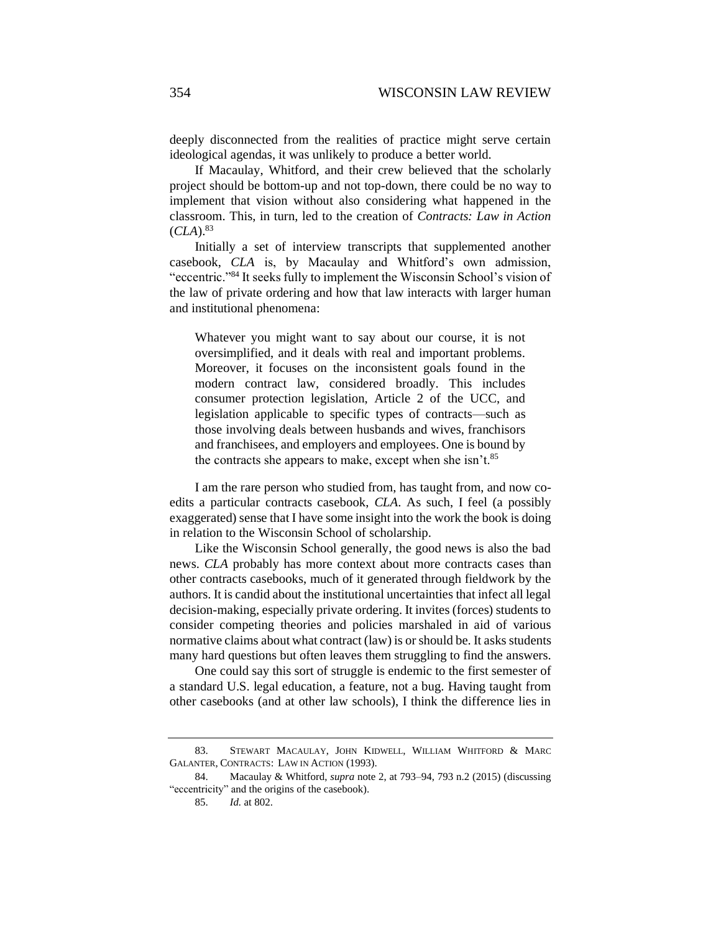deeply disconnected from the realities of practice might serve certain ideological agendas, it was unlikely to produce a better world.

If Macaulay, Whitford, and their crew believed that the scholarly project should be bottom-up and not top-down, there could be no way to implement that vision without also considering what happened in the classroom. This, in turn, led to the creation of *Contracts: Law in Action*   $(CLA).^{83}$ 

Initially a set of interview transcripts that supplemented another casebook, *CLA* is, by Macaulay and Whitford's own admission, "eccentric."<sup>84</sup> It seeks fully to implement the Wisconsin School's vision of the law of private ordering and how that law interacts with larger human and institutional phenomena:

Whatever you might want to say about our course, it is not oversimplified, and it deals with real and important problems. Moreover, it focuses on the inconsistent goals found in the modern contract law, considered broadly. This includes consumer protection legislation, Article 2 of the UCC, and legislation applicable to specific types of contracts—such as those involving deals between husbands and wives, franchisors and franchisees, and employers and employees. One is bound by the contracts she appears to make, except when she isn't. $85$ 

I am the rare person who studied from, has taught from, and now coedits a particular contracts casebook, *CLA*. As such, I feel (a possibly exaggerated) sense that I have some insight into the work the book is doing in relation to the Wisconsin School of scholarship.

Like the Wisconsin School generally, the good news is also the bad news. *CLA* probably has more context about more contracts cases than other contracts casebooks, much of it generated through fieldwork by the authors. It is candid about the institutional uncertainties that infect all legal decision-making, especially private ordering. It invites (forces) students to consider competing theories and policies marshaled in aid of various normative claims about what contract (law) is or should be. It asks students many hard questions but often leaves them struggling to find the answers.

One could say this sort of struggle is endemic to the first semester of a standard U.S. legal education, a feature, not a bug. Having taught from other casebooks (and at other law schools), I think the difference lies in

<sup>83.</sup> STEWART MACAULAY, JOHN KIDWELL, WILLIAM WHITFORD & MARC GALANTER, CONTRACTS: LAW IN ACTION (1993).

<sup>84.</sup> Macaulay & Whitford, *supra* not[e 2,](#page-0-1) at 793–94, 793 n.2 (2015) (discussing "eccentricity" and the origins of the casebook).

<sup>85.</sup> *Id.* at 802.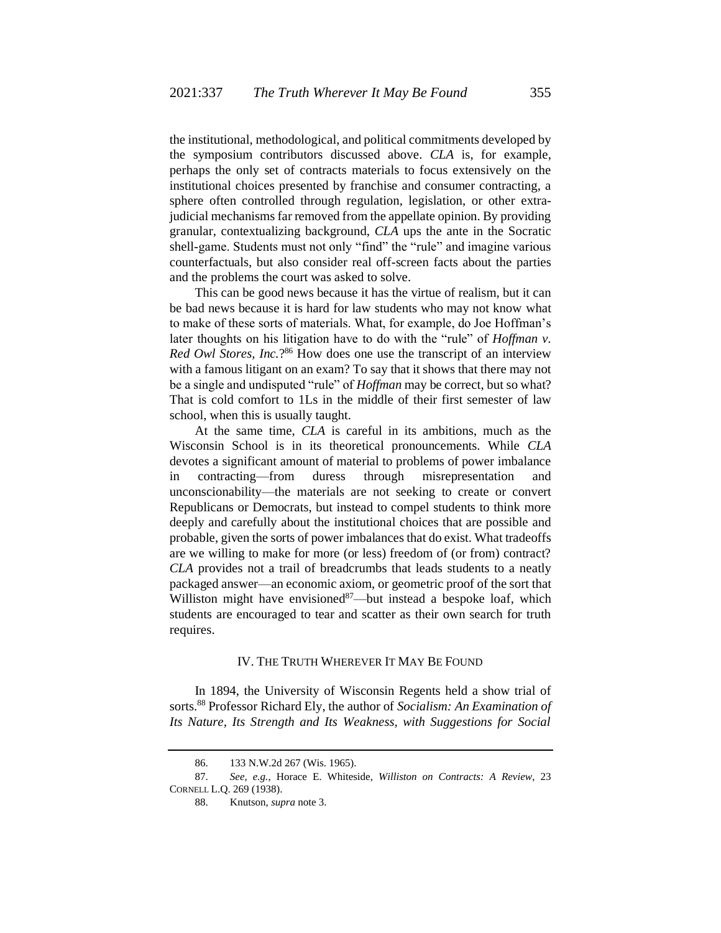the institutional, methodological, and political commitments developed by the symposium contributors discussed above. *CLA* is, for example, perhaps the only set of contracts materials to focus extensively on the institutional choices presented by franchise and consumer contracting, a sphere often controlled through regulation, legislation, or other extrajudicial mechanisms far removed from the appellate opinion. By providing granular, contextualizing background, *CLA* ups the ante in the Socratic shell-game. Students must not only "find" the "rule" and imagine various counterfactuals, but also consider real off-screen facts about the parties and the problems the court was asked to solve.

This can be good news because it has the virtue of realism, but it can be bad news because it is hard for law students who may not know what to make of these sorts of materials. What, for example, do Joe Hoffman's later thoughts on his litigation have to do with the "rule" of *Hoffman v. Red Owl Stores, Inc.*?<sup>86</sup> How does one use the transcript of an interview with a famous litigant on an exam? To say that it shows that there may not be a single and undisputed "rule" of *Hoffman* may be correct, but so what? That is cold comfort to 1Ls in the middle of their first semester of law school, when this is usually taught.

At the same time, *CLA* is careful in its ambitions, much as the Wisconsin School is in its theoretical pronouncements. While *CLA* devotes a significant amount of material to problems of power imbalance in contracting—from duress through misrepresentation and unconscionability—the materials are not seeking to create or convert Republicans or Democrats, but instead to compel students to think more deeply and carefully about the institutional choices that are possible and probable, given the sorts of power imbalances that do exist. What tradeoffs are we willing to make for more (or less) freedom of (or from) contract? *CLA* provides not a trail of breadcrumbs that leads students to a neatly packaged answer—an economic axiom, or geometric proof of the sort that Williston might have envisioned $87$ —but instead a bespoke loaf, which students are encouraged to tear and scatter as their own search for truth requires.

# IV. THE TRUTH WHEREVER IT MAY BE FOUND

In 1894, the University of Wisconsin Regents held a show trial of sorts.<sup>88</sup> Professor Richard Ely, the author of *Socialism: An Examination of Its Nature, Its Strength and Its Weakness, with Suggestions for Social* 

<sup>86.</sup> 133 N.W.2d 267 (Wis. 1965).

<sup>87.</sup> *See, e.g.*, Horace E. Whiteside, *Williston on Contracts: A Review*, 23 CORNELL L.Q. 269 (1938).

<sup>88.</sup> Knutson, *supra* not[e 3.](#page-1-2)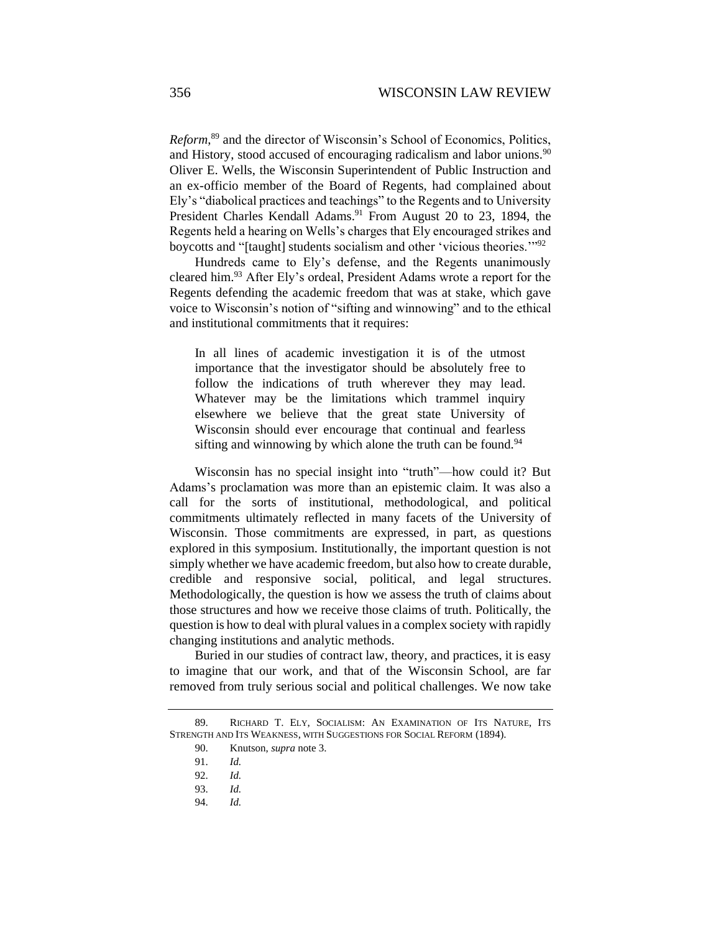*Reform*, <sup>89</sup> and the director of Wisconsin's School of Economics, Politics, and History, stood accused of encouraging radicalism and labor unions.<sup>90</sup> Oliver E. Wells, the Wisconsin Superintendent of Public Instruction and an ex-officio member of the Board of Regents, had complained about Ely's "diabolical practices and teachings" to the Regents and to University President Charles Kendall Adams.<sup>91</sup> From August 20 to 23, 1894, the Regents held a hearing on Wells's charges that Ely encouraged strikes and boycotts and "[taught] students socialism and other 'vicious theories.'"<sup>92</sup>

Hundreds came to Ely's defense, and the Regents unanimously cleared him.<sup>93</sup> After Ely's ordeal, President Adams wrote a report for the Regents defending the academic freedom that was at stake, which gave voice to Wisconsin's notion of "sifting and winnowing" and to the ethical and institutional commitments that it requires:

In all lines of academic investigation it is of the utmost importance that the investigator should be absolutely free to follow the indications of truth wherever they may lead. Whatever may be the limitations which trammel inquiry elsewhere we believe that the great state University of Wisconsin should ever encourage that continual and fearless sifting and winnowing by which alone the truth can be found. $94$ 

Wisconsin has no special insight into "truth"—how could it? But Adams's proclamation was more than an epistemic claim. It was also a call for the sorts of institutional, methodological, and political commitments ultimately reflected in many facets of the University of Wisconsin. Those commitments are expressed, in part, as questions explored in this symposium. Institutionally, the important question is not simply whether we have academic freedom, but also how to create durable, credible and responsive social, political, and legal structures. Methodologically, the question is how we assess the truth of claims about those structures and how we receive those claims of truth. Politically, the question is how to deal with plural values in a complex society with rapidly changing institutions and analytic methods.

Buried in our studies of contract law, theory, and practices, it is easy to imagine that our work, and that of the Wisconsin School, are far removed from truly serious social and political challenges. We now take

<sup>89.</sup> RICHARD T. ELY, SOCIALISM: AN EXAMINATION OF ITS NATURE, ITS STRENGTH AND ITS WEAKNESS, WITH SUGGESTIONS FOR SOCIAL REFORM (1894).

<sup>90.</sup> Knutson, *supra* note [3.](#page-1-2)

<sup>91.</sup> *Id.*

<sup>92.</sup> *Id.*

<sup>93.</sup> *Id.*

<sup>94.</sup> *Id.*